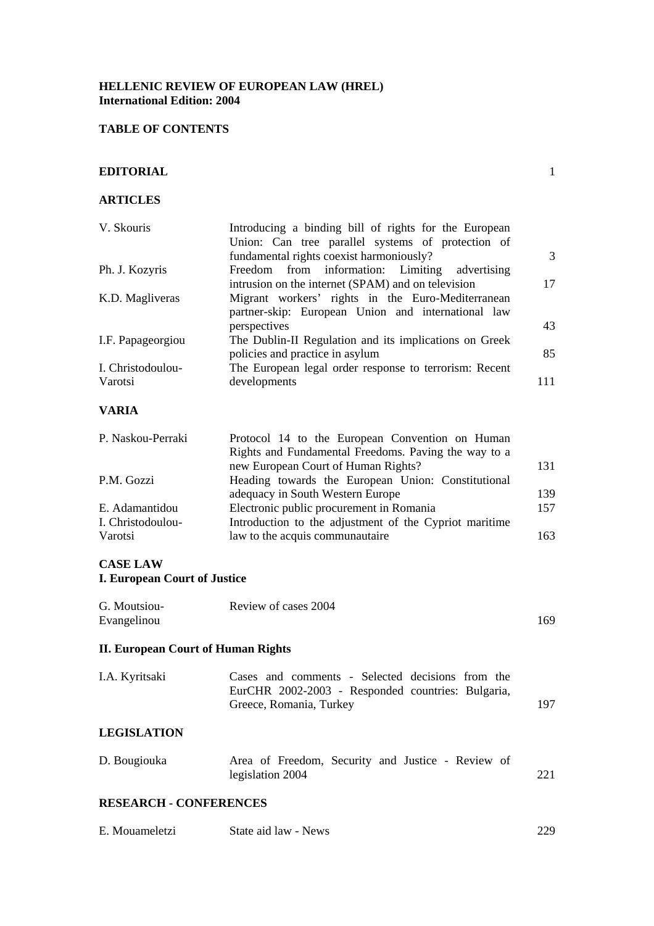### **HELLENIC REVIEW OF EUROPEAN LAW (HREL) International Edition: 2004**

## **TABLE OF CONTENTS**

#### **EDITORIAL** 1

#### **ARTICLES**

| V. Skouris        | Introducing a binding bill of rights for the European  |     |
|-------------------|--------------------------------------------------------|-----|
|                   | Union: Can tree parallel systems of protection of      |     |
|                   | fundamental rights coexist harmoniously?               | 3   |
| Ph. J. Kozyris    | Freedom from information: Limiting<br>advertising      |     |
|                   | intrusion on the internet (SPAM) and on television     | 17  |
| K.D. Magliveras   | Migrant workers' rights in the Euro-Mediterranean      |     |
|                   | partner-skip: European Union and international law     |     |
|                   | perspectives                                           | 43  |
| I.F. Papageorgiou | The Dublin-II Regulation and its implications on Greek |     |
|                   | policies and practice in asylum                        | 85  |
| I. Christodoulou- | The European legal order response to terrorism: Recent |     |
| Varotsi           | developments                                           | 111 |
| <b>VARIA</b>      |                                                        |     |

| P. Naskou-Perraki | Protocol 14 to the European Convention on Human        |      |
|-------------------|--------------------------------------------------------|------|
|                   | Rights and Fundamental Freedoms. Paving the way to a   |      |
|                   | new European Court of Human Rights?                    | 131  |
| P.M. Gozzi        | Heading towards the European Union: Constitutional     |      |
|                   | adequacy in South Western Europe                       | 139  |
| E. Adamantidou    | Electronic public procurement in Romania               | 157  |
| I. Christodoulou- | Introduction to the adjustment of the Cypriot maritime |      |
| Varotsi           | law to the acquis communautaire                        | 163. |

## **CASE LAW I. European Court of Justice**

| G. Moutsiou- | Review of cases 2004 |     |
|--------------|----------------------|-----|
| Evangelinou  |                      | 169 |

# **II. European Court of Human Rights**

| I.A. Kyritsaki                | Cases and comments - Selected decisions from the<br>EurCHR 2002-2003 - Responded countries: Bulgaria,<br>Greece, Romania, Turkey | 197 |
|-------------------------------|----------------------------------------------------------------------------------------------------------------------------------|-----|
| <b>LEGISLATION</b>            |                                                                                                                                  |     |
| D. Bougiouka                  | Area of Freedom, Security and Justice - Review of<br>legislation 2004                                                            | 221 |
| <b>RESEARCH - CONFERENCES</b> |                                                                                                                                  |     |

| E. Mouameletzi | State aid law - News | 229 |
|----------------|----------------------|-----|
|                |                      |     |